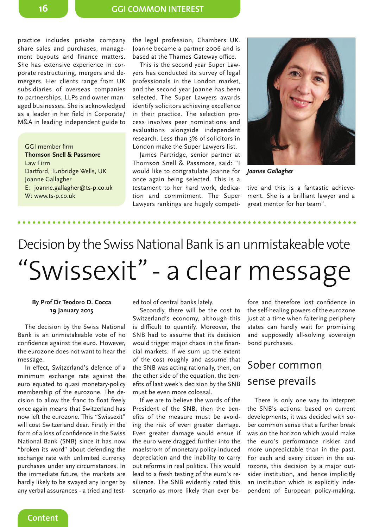practice includes private company share sales and purchases, management buyouts and finance matters. She has extensive experience in corporate restructuring, mergers and demergers. Her clients range from UK subsidiaries of overseas companies to partnerships, LLPs and owner managed businesses. She is acknowledged as a leader in her field in Corporate/ M&A in leading independent guide to

GGI member firm **Thomson Snell & Passmore** Law Firm Dartford, Tunbridge Wells, UK Joanne Gallagher E: joanne.gallagher@ts-p.co.uk W: www.ts-p.co.uk

the legal profession, Chambers UK. Joanne became a partner 2006 and is based at the Thames Gateway office.

This is the second year Super Lawyers has conducted its survey of legal professionals in the London market, and the second year Joanne has been selected. The Super Lawyers awards identify solicitors achieving excellence in their practice. The selection process involves peer nominations and evaluations alongside independent research. Less than 3% of solicitors in London make the Super Lawyers list.

James Partridge, senior partner at Thomson Snell & Passmore, said: "I would like to congratulate Joanne for *Joanne Gallagher* once again being selected. This is a testament to her hard work, dedication and commitment. The Super Lawyers rankings are hugely competi-



tive and this is a fantastic achievement. She is a brilliant lawyer and a great mentor for her team".

# "Swissexit" - a clear message Decision by the Swiss National Bank is an unmistakeable vote

#### **By Prof Dr Teodoro D. Cocca 19 January 2015**

The decision by the Swiss National Bank is an unmistakeable vote of no confidence against the euro. However, the eurozone does not want to hear the message.

In effect, Switzerland's defence of a minimum exchange rate against the euro equated to quasi monetary-policy membership of the eurozone. The decision to allow the franc to float freely once again means that Switzerland has now left the eurozone. This "Swissexit" will cost Switzerland dear. Firstly in the form of a loss of confidence in the Swiss National Bank (SNB) since it has now "broken its word" about defending the exchange rate with unlimited currency purchases under any circumstances. In the immediate future, the markets are hardly likely to be swayed any longer by any verbal assurances - a tried and test-

**Content**

ed tool of central banks lately.

Secondly, there will be the cost to Switzerland's economy, although this is difficult to quantify. Moreover, the SNB had to assume that its decision would trigger major chaos in the financial markets. If we sum up the extent of the cost roughly and assume that the SNB was acting rationally, then, on the other side of the equation, the benefits of last week's decision by the SNB must be even more colossal.

If we are to believe the words of the President of the SNB, then the benefits of the measure must be avoiding the risk of even greater damage. Even greater damage would ensue if the euro were dragged further into the maelstrom of monetary-policy-induced depreciation and the inability to carry out reforms in real politics. This would lead to a fresh testing of the euro's resilience. The SNB evidently rated this scenario as more likely than ever be-

fore and therefore lost confidence in the self-healing powers of the eurozone just at a time when faltering periphery states can hardly wait for promising and supposedly all-solving sovereign bond purchases.

## Sober common sense prevails

There is only one way to interpret the SNB's actions: based on current developments, it was decided with sober common sense that a further break was on the horizon which would make the euro's performance riskier and more unpredictable than in the past. For each and every citizen in the eurozone, this decision by a major outsider institution, and hence implicitly an institution which is explicitly independent of European policy-making,

**16**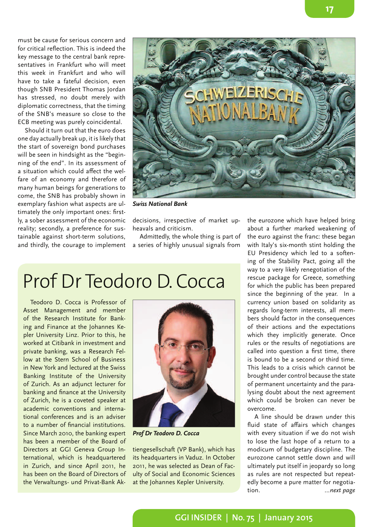must be cause for serious concern and for critical reflection. This is indeed the key message to the central bank representatives in Frankfurt who will meet this week in Frankfurt and who will have to take a fateful decision, even though SNB President Thomas Jordan has stressed, no doubt merely with diplomatic correctness, that the timing of the SNB's measure so close to the ECB meeting was purely coincidental.

Should it turn out that the euro does one day actually break up, it is likely that the start of sovereign bond purchases will be seen in hindsight as the "beginning of the end". In its assessment of a situation which could affect the welfare of an economy and therefore of many human beings for generations to come, the SNB has probably shown in exemplary fashion what aspects are ultimately the only important ones: firstly, a sober assessment of the economic reality; secondly, a preference for sustainable against short-term solutions, and thirdly, the courage to implement



*Swiss National Bank*

decisions, irrespective of market upheavals and criticism.

Admittedly, the whole thing is part of a series of highly unusual signals from

# Prof Dr Teodoro D. Cocca

Teodoro D. Cocca is Professor of Asset Management and member of the Research Institute for Banking and Finance at the Johannes Kepler University Linz. Prior to this, he worked at Citibank in investment and private banking, was a Research Fellow at the Stern School of Business in New York and lectured at the Swiss Banking Institute of the University of Zurich. As an adjunct lecturer for banking and finance at the University of Zurich, he is a coveted speaker at academic conventions and international conferences and is an adviser to a number of financial institutions. Since March 2010, the banking expert has been a member of the Board of Directors at GGI Geneva Group International, which is headquartered in Zurich, and since April 2011, he has been on the Board of Directors of the Verwaltungs- und Privat-Bank Ak-



*Prof Dr Teodoro D. Cocca*

tiengesellschaft (VP Bank), which has its headquarters in Vaduz. In October 2011, he was selected as Dean of Faculty of Social and Economic Sciences at the Johannes Kepler University.

the eurozone which have helped bring about a further marked weakening of the euro against the franc: these began with Italy's six-month stint holding the EU Presidency which led to a softening of the Stability Pact, going all the way to a very likely renegotiation of the rescue package for Greece, something for which the public has been prepared since the beginning of the year. In a currency union based on solidarity as regards long-term interests, all members should factor in the consequences of their actions and the expectations which they implicitly generate. Once rules or the results of negotiations are called into question a first time, there is bound to be a second or third time. This leads to a crisis which cannot be brought under control because the state of permanent uncertainty and the paralysing doubt about the next agreement which could be broken can never be overcome.

A line should be drawn under this fluid state of affairs which changes with every situation if we do not wish to lose the last hope of a return to a modicum of budgetary discipline. The eurozone cannot settle down and will ultimately put itself in jeopardy so long as rules are not respected but repeatedly become a pure matter for negotiation. *...next page*

#### **GGI INSIDER | No. 75 | January 2015**